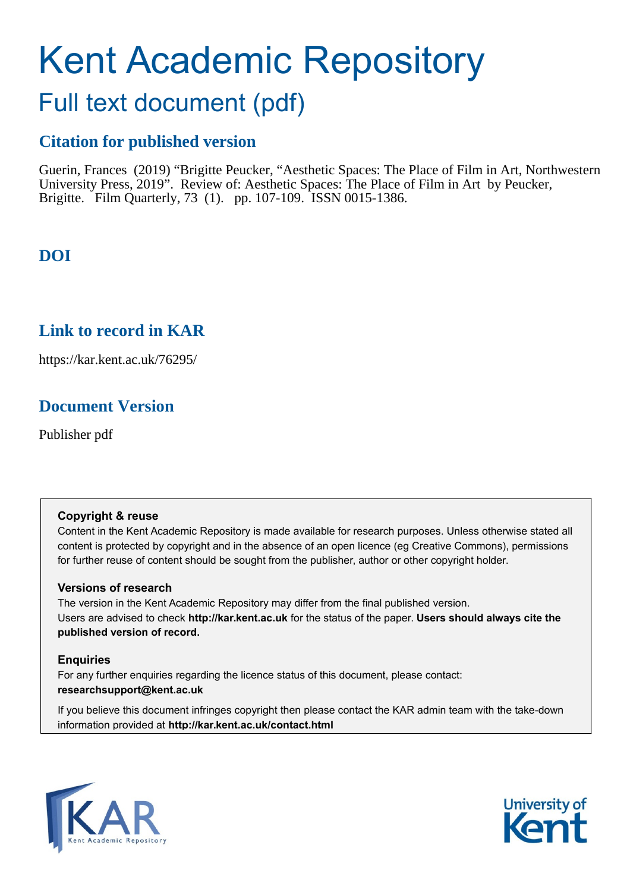# Kent Academic Repository

## Full text document (pdf)

## **Citation for published version**

Guerin, Frances (2019) "Brigitte Peucker, "Aesthetic Spaces: The Place of Film in Art, Northwestern University Press, 2019". Review of: Aesthetic Spaces: The Place of Film in Art by Peucker, Brigitte. Film Quarterly, 73 (1). pp. 107-109. ISSN 0015-1386.

## **DOI**

## **Link to record in KAR**

https://kar.kent.ac.uk/76295/

## **Document Version**

Publisher pdf

#### **Copyright & reuse**

Content in the Kent Academic Repository is made available for research purposes. Unless otherwise stated all content is protected by copyright and in the absence of an open licence (eg Creative Commons), permissions for further reuse of content should be sought from the publisher, author or other copyright holder.

#### **Versions of research**

The version in the Kent Academic Repository may differ from the final published version. Users are advised to check **http://kar.kent.ac.uk** for the status of the paper. **Users should always cite the published version of record.**

#### **Enquiries**

For any further enquiries regarding the licence status of this document, please contact: **researchsupport@kent.ac.uk**

If you believe this document infringes copyright then please contact the KAR admin team with the take-down information provided at **http://kar.kent.ac.uk/contact.html**



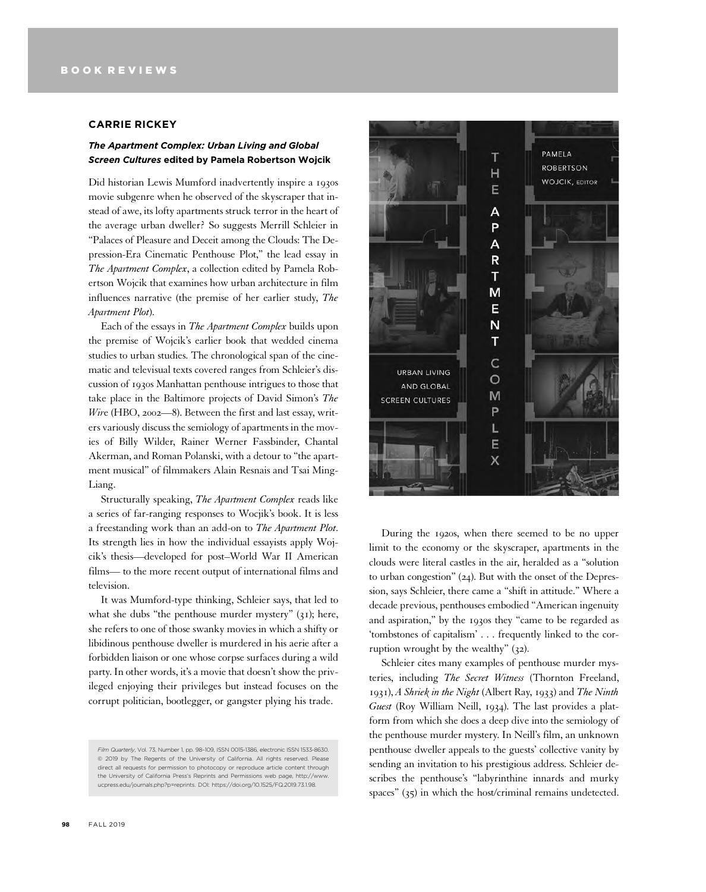#### CARRIE RICKEY

#### The Apartment Complex: Urban Living and Global Screen Cultures edited by Pamela Robertson Wojcik

Did historian Lewis Mumford inadvertently inspire a 1930s movie subgenre when he observed of the skyscraper that instead of awe, its lofty apartments struck terror in the heart of the average urban dweller? So suggests Merrill Schleier in "Palaces of Pleasure and Deceit among the Clouds: The Depression-Era Cinematic Penthouse Plot," the lead essay in The Apartment Complex, a collection edited by Pamela Robertson Wojcik that examines how urban architecture in film influences narrative (the premise of her earlier study, The Apartment Plot).

Each of the essays in The Apartment Complex builds upon the premise of Wojcik's earlier book that wedded cinema studies to urban studies. The chronological span of the cinematic and televisual texts covered ranges from Schleier's discussion of 1930s Manhattan penthouse intrigues to those that take place in the Baltimore projects of David Simon's The Wire (HBO, 2002—8). Between the first and last essay, writers variously discuss the semiology of apartments in the movies of Billy Wilder, Rainer Werner Fassbinder, Chantal Akerman, and Roman Polanski, with a detour to "the apartment musical" of filmmakers Alain Resnais and Tsai Ming-Liang.

Structurally speaking, The Apartment Complex reads like a series of far-ranging responses to Wocjik's book. It is less a freestanding work than an add-on to The Apartment Plot. Its strength lies in how the individual essayists apply Wojcik's thesis—developed for post–World War II American films— to the more recent output of international films and television.

It was Mumford-type thinking, Schleier says, that led to what she dubs "the penthouse murder mystery" (31); here, she refers to one of those swanky movies in which a shifty or libidinous penthouse dweller is murdered in his aerie after a forbidden liaison or one whose corpse surfaces during a wild party. In other words, it's a movie that doesn't show the privileged enjoying their privileges but instead focuses on the corrupt politician, bootlegger, or gangster plying his trade.



During the 1920s, when there seemed to be no upper limit to the economy or the skyscraper, apartments in the clouds were literal castles in the air, heralded as a "solution to urban congestion" (24). But with the onset of the Depression, says Schleier, there came a "shift in attitude." Where a decade previous, penthouses embodied "American ingenuity and aspiration," by the 1930s they "came to be regarded as 'tombstones of capitalism' . . . frequently linked to the corruption wrought by the wealthy"  $(32)$ .

Schleier cites many examples of penthouse murder mysteries, including The Secret Witness (Thornton Freeland, 1931), A Shriek in the Night (Albert Ray, 1933) and The Ninth Guest (Roy William Neill, 1934). The last provides a platform from which she does a deep dive into the semiology of the penthouse murder mystery. In Neill's film, an unknown penthouse dweller appeals to the guests' collective vanity by sending an invitation to his prestigious address. Schleier describes the penthouse's "labyrinthine innards and murky spaces" (35) in which the host/criminal remains undetected.

Film Quarterly, Vol. 73, Number 1, pp. 98–109, ISSN 0015-1386, electronic ISSN 1533-8630. © 2019 by The Regents of the University of California. All rights reserved. Please direct all requests for permission to photocopy or reproduce article content through the University of California Press's Reprints and Permissions web page, http://www. ucpress.edu/journals.php?p=reprints. DOI: https://doi.org/10.1525/FQ.2019.73.1.98.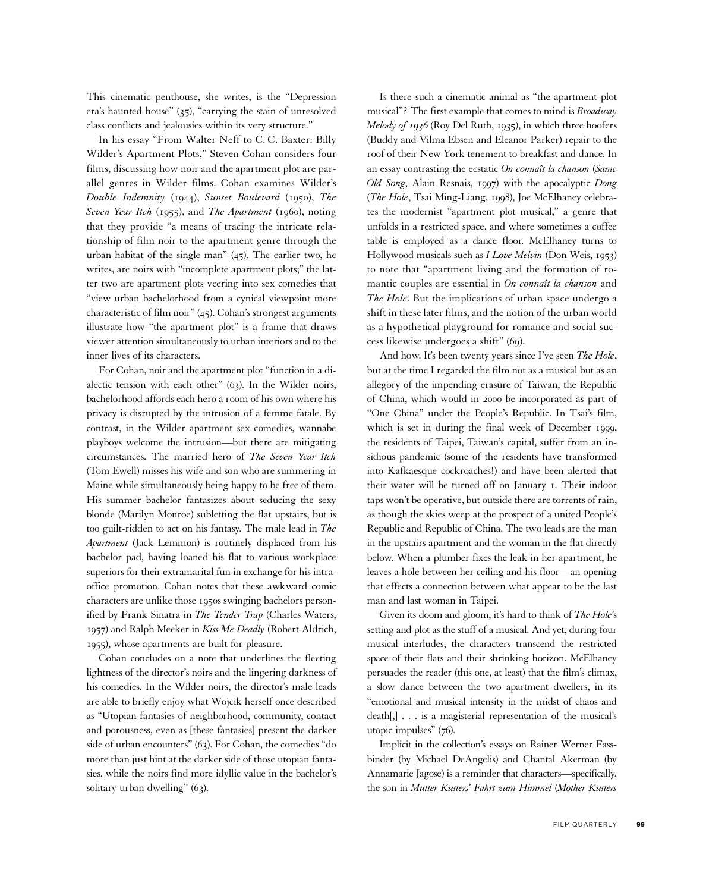This cinematic penthouse, she writes, is the "Depression era's haunted house" (35), "carrying the stain of unresolved class conflicts and jealousies within its very structure."

In his essay "From Walter Neff to C. C. Baxter: Billy Wilder's Apartment Plots," Steven Cohan considers four films, discussing how noir and the apartment plot are parallel genres in Wilder films. Cohan examines Wilder's Double Indemnity (1944), Sunset Boulevard (1950), The Seven Year Itch (1955), and The Apartment (1960), noting that they provide "a means of tracing the intricate relationship of film noir to the apartment genre through the urban habitat of the single man" (45). The earlier two, he writes, are noirs with "incomplete apartment plots;" the latter two are apartment plots veering into sex comedies that "view urban bachelorhood from a cynical viewpoint more characteristic of film noir" (45). Cohan's strongest arguments illustrate how "the apartment plot" is a frame that draws viewer attention simultaneously to urban interiors and to the inner lives of its characters.

For Cohan, noir and the apartment plot "function in a dialectic tension with each other" (63). In the Wilder noirs, bachelorhood affords each hero a room of his own where his privacy is disrupted by the intrusion of a femme fatale. By contrast, in the Wilder apartment sex comedies, wannabe playboys welcome the intrusion—but there are mitigating circumstances. The married hero of The Seven Year Itch (Tom Ewell) misses his wife and son who are summering in Maine while simultaneously being happy to be free of them. His summer bachelor fantasizes about seducing the sexy blonde (Marilyn Monroe) subletting the flat upstairs, but is too guilt-ridden to act on his fantasy. The male lead in The Apartment (Jack Lemmon) is routinely displaced from his bachelor pad, having loaned his flat to various workplace superiors for their extramarital fun in exchange for his intraoffice promotion. Cohan notes that these awkward comic characters are unlike those 1950s swinging bachelors personified by Frank Sinatra in The Tender Trap (Charles Waters, 1957) and Ralph Meeker in Kiss Me Deadly (Robert Aldrich, 1955), whose apartments are built for pleasure.

Cohan concludes on a note that underlines the fleeting lightness of the director's noirs and the lingering darkness of his comedies. In the Wilder noirs, the director's male leads are able to briefly enjoy what Wojcik herself once described as "Utopian fantasies of neighborhood, community, contact and porousness, even as [these fantasies] present the darker side of urban encounters" (63). For Cohan, the comedies "do more than just hint at the darker side of those utopian fantasies, while the noirs find more idyllic value in the bachelor's solitary urban dwelling" (63).

Is there such a cinematic animal as "the apartment plot musical"? The first example that comes to mind is *Broadway* Melody of 1936 (Roy Del Ruth, 1935), in which three hoofers (Buddy and Vilma Ebsen and Eleanor Parker) repair to the roof of their New York tenement to breakfast and dance. In an essay contrasting the ecstatic On connaît la chanson (Same Old Song, Alain Resnais, 1997) with the apocalyptic Dong (The Hole, Tsai Ming-Liang, 1998), Joe McElhaney celebrates the modernist "apartment plot musical," a genre that unfolds in a restricted space, and where sometimes a coffee table is employed as a dance floor. McElhaney turns to Hollywood musicals such as *I Love Melvin* (Don Weis, 1953) to note that "apartment living and the formation of romantic couples are essential in On connaît la chanson and The Hole. But the implications of urban space undergo a shift in these later films, and the notion of the urban world as a hypothetical playground for romance and social success likewise undergoes a shift" (69).

And how. It's been twenty years since I've seen The Hole, but at the time I regarded the film not as a musical but as an allegory of the impending erasure of Taiwan, the Republic of China, which would in 2000 be incorporated as part of "One China" under the People's Republic. In Tsai's film, which is set in during the final week of December 1999, the residents of Taipei, Taiwan's capital, suffer from an insidious pandemic (some of the residents have transformed into Kafkaesque cockroaches!) and have been alerted that their water will be turned off on January 1. Their indoor taps won't be operative, but outside there are torrents of rain, as though the skies weep at the prospect of a united People's Republic and Republic of China. The two leads are the man in the upstairs apartment and the woman in the flat directly below. When a plumber fixes the leak in her apartment, he leaves a hole between her ceiling and his floor—an opening that effects a connection between what appear to be the last man and last woman in Taipei.

Given its doom and gloom, it's hard to think of The Hole's setting and plot as the stuff of a musical. And yet, during four musical interludes, the characters transcend the restricted space of their flats and their shrinking horizon. McElhaney persuades the reader (this one, at least) that the film's climax, a slow dance between the two apartment dwellers, in its "emotional and musical intensity in the midst of chaos and death[,] . . . is a magisterial representation of the musical's utopic impulses" (76).

Implicit in the collection's essays on Rainer Werner Fassbinder (by Michael DeAngelis) and Chantal Akerman (by Annamarie Jagose) is a reminder that characters—specifically, the son in Mutter Küsters' Fahrt zum Himmel (Mother Küsters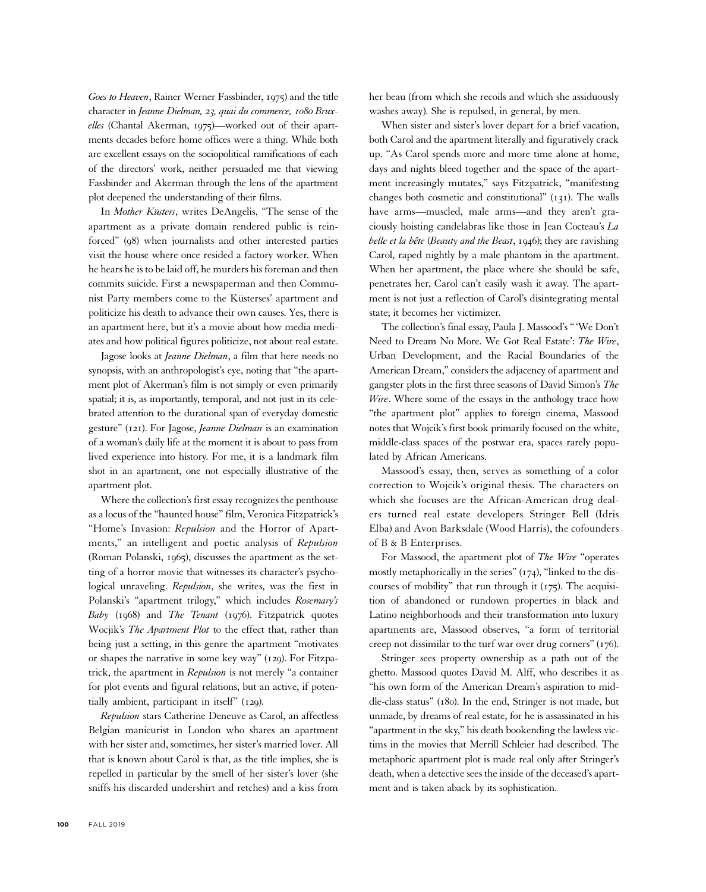Goes to Heaven, Rainer Werner Fassbinder, 1975) and the title character in Jeanne Dielman, 23, quai du commerce, 1080 Bruxelles (Chantal Akerman, 1975)—worked out of their apartments decades before home offices were a thing. While both are excellent essays on the sociopolitical ramifications of each of the directors' work, neither persuaded me that viewing Fassbinder and Akerman through the lens of the apartment plot deepened the understanding of their films.

In Mother Küsters, writes DeAngelis, "The sense of the apartment as a private domain rendered public is reinforced" (98) when journalists and other interested parties visit the house where once resided a factory worker. When he hears he is to be laid off, he murders his foreman and then commits suicide. First a newspaperman and then Communist Party members come to the Küsterses' apartment and politicize his death to advance their own causes. Yes, there is an apartment here, but it's a movie about how media mediates and how political figures politicize, not about real estate.

Jagose looks at *Jeanne Dielman*, a film that here needs no synopsis, with an anthropologist's eye, noting that "the apartment plot of Akerman's film is not simply or even primarily spatial; it is, as importantly, temporal, and not just in its celebrated attention to the durational span of everyday domestic gesture" (121). For Jagose, *Jeanne Dielman* is an examination of a woman's daily life at the moment it is about to pass from lived experience into history. For me, it is a landmark film shot in an apartment, one not especially illustrative of the apartment plot.

Where the collection's first essay recognizes the penthouse as a locus of the "haunted house" film, Veronica Fitzpatrick's "Home's Invasion: Repulsion and the Horror of Apartments," an intelligent and poetic analysis of Repulsion (Roman Polanski, 1965), discusses the apartment as the setting of a horror movie that witnesses its character's psychological unraveling. Repulsion, she writes, was the first in Polanski's "apartment trilogy," which includes Rosemary's Baby (1968) and The Tenant (1976). Fitzpatrick quotes Wocjik's The Apartment Plot to the effect that, rather than being just a setting, in this genre the apartment "motivates or shapes the narrative in some key way" (129). For Fitzpatrick, the apartment in Repulsion is not merely "a container for plot events and figural relations, but an active, if potentially ambient, participant in itself" (129).

Repulsion stars Catherine Deneuve as Carol, an affectless Belgian manicurist in London who shares an apartment with her sister and, sometimes, her sister's married lover. All that is known about Carol is that, as the title implies, she is repelled in particular by the smell of her sister's lover (she sniffs his discarded undershirt and retches) and a kiss from

her beau (from which she recoils and which she assiduously washes away). She is repulsed, in general, by men.

When sister and sister's lover depart for a brief vacation, both Carol and the apartment literally and figuratively crack up. "As Carol spends more and more time alone at home, days and nights bleed together and the space of the apartment increasingly mutates," says Fitzpatrick, "manifesting changes both cosmetic and constitutional" (131). The walls have arms—muscled, male arms—and they aren't graciously hoisting candelabras like those in Jean Cocteau's La belle et la bête (Beauty and the Beast, 1946); they are ravishing Carol, raped nightly by a male phantom in the apartment. When her apartment, the place where she should be safe, penetrates her, Carol can't easily wash it away. The apartment is not just a reflection of Carol's disintegrating mental state; it becomes her victimizer.

The collection's final essay, Paula J. Massood's " 'We Don't Need to Dream No More. We Got Real Estate': The Wire, Urban Development, and the Racial Boundaries of the American Dream," considers the adjacency of apartment and gangster plots in the first three seasons of David Simon's The Wire. Where some of the essays in the anthology trace how "the apartment plot" applies to foreign cinema, Massood notes that Wojcik's first book primarily focused on the white, middle-class spaces of the postwar era, spaces rarely populated by African Americans.

Massood's essay, then, serves as something of a color correction to Wojcik's original thesis. The characters on which she focuses are the African-American drug dealers turned real estate developers Stringer Bell (Idris Elba) and Avon Barksdale (Wood Harris), the cofounders of B & B Enterprises.

For Massood, the apartment plot of The Wire "operates mostly metaphorically in the series"  $(174)$ , "linked to the discourses of mobility" that run through it (175). The acquisition of abandoned or rundown properties in black and Latino neighborhoods and their transformation into luxury apartments are, Massood observes, "a form of territorial creep not dissimilar to the turf war over drug corners" (176).

Stringer sees property ownership as a path out of the ghetto. Massood quotes David M. Alff, who describes it as "his own form of the American Dream's aspiration to middle-class status" (180). In the end, Stringer is not made, but unmade, by dreams of real estate, for he is assassinated in his "apartment in the sky," his death bookending the lawless victims in the movies that Merrill Schleier had described. The metaphoric apartment plot is made real only after Stringer's death, when a detective sees the inside of the deceased's apartment and is taken aback by its sophistication.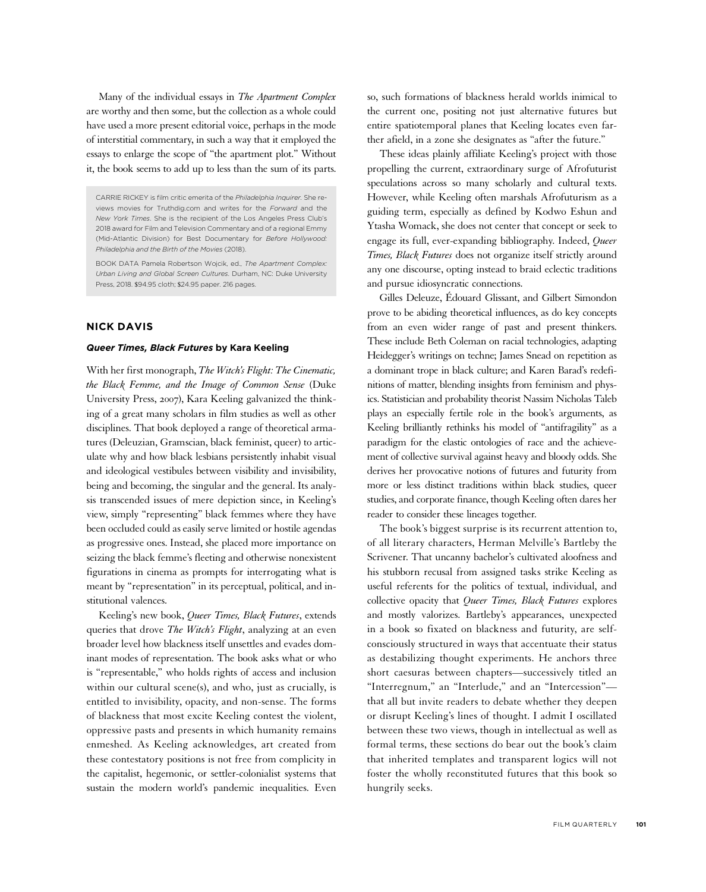Many of the individual essays in The Apartment Complex are worthy and then some, but the collection as a whole could have used a more present editorial voice, perhaps in the mode of interstitial commentary, in such a way that it employed the essays to enlarge the scope of "the apartment plot." Without it, the book seems to add up to less than the sum of its parts.

CARRIE RICKEY is film critic emerita of the Philadelphia Inquirer. She reviews movies for Truthdig.com and writes for the Forward and the New York Times. She is the recipient of the Los Angeles Press Club's 2018 award for Film and Television Commentary and of a regional Emmy (Mid-Atlantic Division) for Best Documentary for Before Hollywood: Philadelphia and the Birth of the Movies (2018).

BOOK DATA Pamela Robertson Wojcik, ed., The Apartment Complex: Urban Living and Global Screen Cultures. Durham, NC: Duke University Press, 2018. \$94.95 cloth; \$24.95 paper. 216 pages.

#### NICK DAVIS

#### Queer Times, Black Futures by Kara Keeling

With her first monograph, The Witch's Flight: The Cinematic, the Black Femme, and the Image of Common Sense (Duke University Press, 2007), Kara Keeling galvanized the thinking of a great many scholars in film studies as well as other disciplines. That book deployed a range of theoretical armatures (Deleuzian, Gramscian, black feminist, queer) to articulate why and how black lesbians persistently inhabit visual and ideological vestibules between visibility and invisibility, being and becoming, the singular and the general. Its analysis transcended issues of mere depiction since, in Keeling's view, simply "representing" black femmes where they have been occluded could as easily serve limited or hostile agendas as progressive ones. Instead, she placed more importance on seizing the black femme's fleeting and otherwise nonexistent figurations in cinema as prompts for interrogating what is meant by "representation" in its perceptual, political, and institutional valences.

Keeling's new book, Queer Times, Black Futures, extends queries that drove *The Witch's Flight*, analyzing at an even broader level how blackness itself unsettles and evades dominant modes of representation. The book asks what or who is "representable," who holds rights of access and inclusion within our cultural scene(s), and who, just as crucially, is entitled to invisibility, opacity, and non-sense. The forms of blackness that most excite Keeling contest the violent, oppressive pasts and presents in which humanity remains enmeshed. As Keeling acknowledges, art created from these contestatory positions is not free from complicity in the capitalist, hegemonic, or settler-colonialist systems that sustain the modern world's pandemic inequalities. Even

so, such formations of blackness herald worlds inimical to the current one, positing not just alternative futures but entire spatiotemporal planes that Keeling locates even farther afield, in a zone she designates as "after the future."

These ideas plainly affiliate Keeling's project with those propelling the current, extraordinary surge of Afrofuturist speculations across so many scholarly and cultural texts. However, while Keeling often marshals Afrofuturism as a guiding term, especially as defined by Kodwo Eshun and Ytasha Womack, she does not center that concept or seek to engage its full, ever-expanding bibliography. Indeed, *Queer* Times, Black Futures does not organize itself strictly around any one discourse, opting instead to braid eclectic traditions and pursue idiosyncratic connections.

Gilles Deleuze, Édouard Glissant, and Gilbert Simondon prove to be abiding theoretical influences, as do key concepts from an even wider range of past and present thinkers. These include Beth Coleman on racial technologies, adapting Heidegger's writings on techne; James Snead on repetition as a dominant trope in black culture; and Karen Barad's redefinitions of matter, blending insights from feminism and physics. Statistician and probability theorist Nassim Nicholas Taleb plays an especially fertile role in the book's arguments, as Keeling brilliantly rethinks his model of "antifragility" as a paradigm for the elastic ontologies of race and the achievement of collective survival against heavy and bloody odds. She derives her provocative notions of futures and futurity from more or less distinct traditions within black studies, queer studies, and corporate finance, though Keeling often dares her reader to consider these lineages together.

The book's biggest surprise is its recurrent attention to, of all literary characters, Herman Melville's Bartleby the Scrivener. That uncanny bachelor's cultivated aloofness and his stubborn recusal from assigned tasks strike Keeling as useful referents for the politics of textual, individual, and collective opacity that Queer Times, Black Futures explores and mostly valorizes. Bartleby's appearances, unexpected in a book so fixated on blackness and futurity, are selfconsciously structured in ways that accentuate their status as destabilizing thought experiments. He anchors three short caesuras between chapters—successively titled an "Interregnum," an "Interlude," and an "Intercession" that all but invite readers to debate whether they deepen or disrupt Keeling's lines of thought. I admit I oscillated between these two views, though in intellectual as well as formal terms, these sections do bear out the book's claim that inherited templates and transparent logics will not foster the wholly reconstituted futures that this book so hungrily seeks.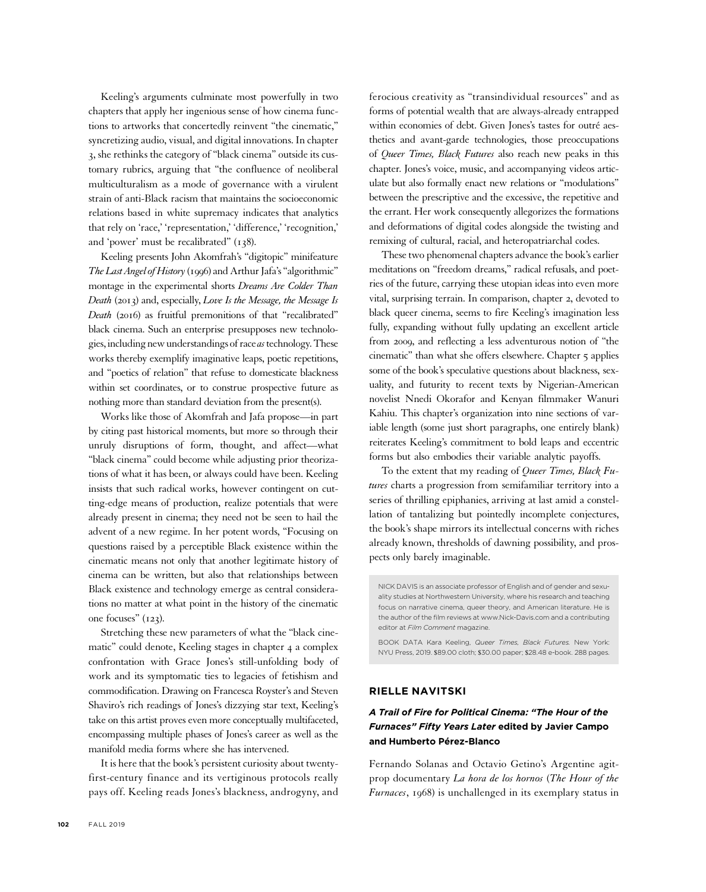Keeling's arguments culminate most powerfully in two chapters that apply her ingenious sense of how cinema functions to artworks that concertedly reinvent "the cinematic," syncretizing audio, visual, and digital innovations. In chapter 3, she rethinks the category of "black cinema" outside its customary rubrics, arguing that "the confluence of neoliberal multiculturalism as a mode of governance with a virulent strain of anti-Black racism that maintains the socioeconomic relations based in white supremacy indicates that analytics that rely on 'race,' 'representation,' 'difference,' 'recognition,' and 'power' must be recalibrated" (138).

Keeling presents John Akomfrah's "digitopic" minifeature The Last Angel of History (1996) and Arthur Jafa's "algorithmic" montage in the experimental shorts Dreams Are Colder Than Death (2013) and, especially, Love Is the Message, the Message Is Death (2016) as fruitful premonitions of that "recalibrated" black cinema. Such an enterprise presupposes new technologies, including new understandings of race  $as$  technology. These works thereby exemplify imaginative leaps, poetic repetitions, and "poetics of relation" that refuse to domesticate blackness within set coordinates, or to construe prospective future as nothing more than standard deviation from the present(s).

Works like those of Akomfrah and Jafa propose—in part by citing past historical moments, but more so through their unruly disruptions of form, thought, and affect—what "black cinema" could become while adjusting prior theorizations of what it has been, or always could have been. Keeling insists that such radical works, however contingent on cutting-edge means of production, realize potentials that were already present in cinema; they need not be seen to hail the advent of a new regime. In her potent words, "Focusing on questions raised by a perceptible Black existence within the cinematic means not only that another legitimate history of cinema can be written, but also that relationships between Black existence and technology emerge as central considerations no matter at what point in the history of the cinematic one focuses" (123).

Stretching these new parameters of what the "black cinematic" could denote, Keeling stages in chapter 4 a complex confrontation with Grace Jones's still-unfolding body of work and its symptomatic ties to legacies of fetishism and commodification. Drawing on Francesca Royster's and Steven Shaviro's rich readings of Jones's dizzying star text, Keeling's take on this artist proves even more conceptually multifaceted, encompassing multiple phases of Jones's career as well as the manifold media forms where she has intervened.

It is here that the book's persistent curiosity about twentyfirst-century finance and its vertiginous protocols really pays off. Keeling reads Jones's blackness, androgyny, and ferocious creativity as "transindividual resources" and as forms of potential wealth that are always-already entrapped within economies of debt. Given Jones's tastes for outré aesthetics and avant-garde technologies, those preoccupations of Queer Times, Black Futures also reach new peaks in this chapter. Jones's voice, music, and accompanying videos articulate but also formally enact new relations or "modulations" between the prescriptive and the excessive, the repetitive and the errant. Her work consequently allegorizes the formations and deformations of digital codes alongside the twisting and remixing of cultural, racial, and heteropatriarchal codes.

These two phenomenal chapters advance the book's earlier meditations on "freedom dreams," radical refusals, and poetries of the future, carrying these utopian ideas into even more vital, surprising terrain. In comparison, chapter 2, devoted to black queer cinema, seems to fire Keeling's imagination less fully, expanding without fully updating an excellent article from 2009, and reflecting a less adventurous notion of "the cinematic" than what she offers elsewhere. Chapter 5 applies some of the book's speculative questions about blackness, sexuality, and futurity to recent texts by Nigerian-American novelist Nnedi Okorafor and Kenyan filmmaker Wanuri Kahiu. This chapter's organization into nine sections of variable length (some just short paragraphs, one entirely blank) reiterates Keeling's commitment to bold leaps and eccentric forms but also embodies their variable analytic payoffs.

To the extent that my reading of Queer Times, Black Futures charts a progression from semifamiliar territory into a series of thrilling epiphanies, arriving at last amid a constellation of tantalizing but pointedly incomplete conjectures, the book's shape mirrors its intellectual concerns with riches already known, thresholds of dawning possibility, and prospects only barely imaginable.

NICK DAVIS is an associate professor of English and of gender and sexuality studies at Northwestern University, where his research and teaching focus on narrative cinema, queer theory, and American literature. He is the author of the film reviews at www.Nick-Davis.com and a contributing editor at Film Comment magazine.

BOOK DATA Kara Keeling, Queer Times, Black Futures. New York: NYU Press, 2019. \$89.00 cloth; \$30.00 paper; \$28.48 e-book. 288 pages.

#### RIELLE NAVITSKI

#### A Trail of Fire for Political Cinema: "The Hour of the Furnaces" Fifty Years Later edited by Javier Campo and Humberto Pérez-Blanco

Fernando Solanas and Octavio Getino's Argentine agitprop documentary La hora de los hornos (The Hour of the Furnaces, 1968) is unchallenged in its exemplary status in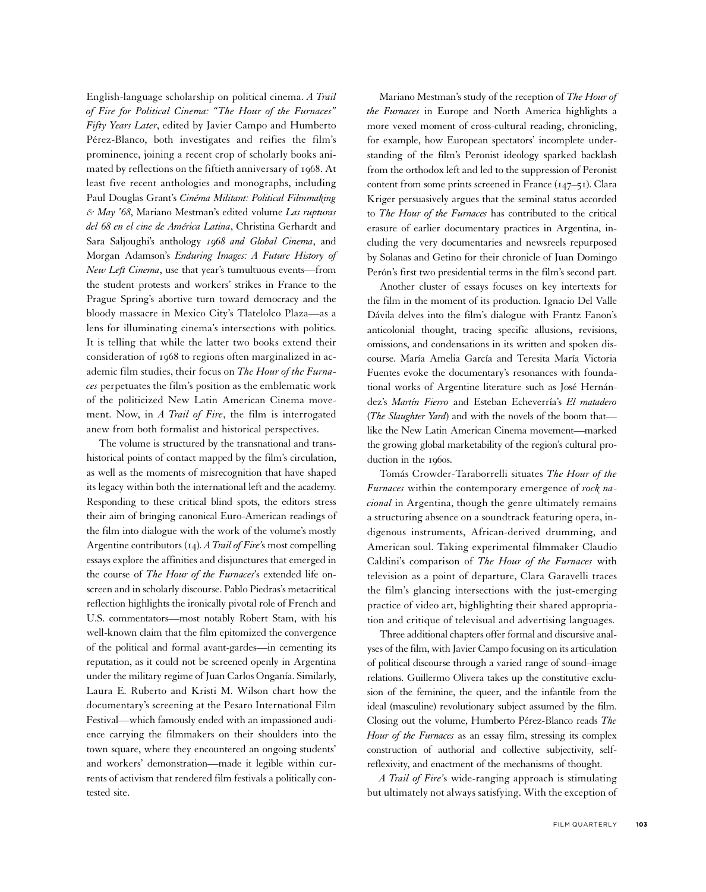English-language scholarship on political cinema. A Trail of Fire for Political Cinema: "The Hour of the Furnaces" Fifty Years Later, edited by Javier Campo and Humberto Pérez-Blanco, both investigates and reifies the film's prominence, joining a recent crop of scholarly books animated by reflections on the fiftieth anniversary of 1968. At least five recent anthologies and monographs, including Paul Douglas Grant's Cinéma Militant: Political Filmmaking & May '68, Mariano Mestman's edited volume Las rupturas del 68 en el cine de América Latina, Christina Gerhardt and Sara Saljoughi's anthology 1968 and Global Cinema, and Morgan Adamson's Enduring Images: A Future History of New Left Cinema, use that year's tumultuous events-from the student protests and workers' strikes in France to the Prague Spring's abortive turn toward democracy and the bloody massacre in Mexico City's Tlatelolco Plaza—as a lens for illuminating cinema's intersections with politics. It is telling that while the latter two books extend their consideration of 1968 to regions often marginalized in academic film studies, their focus on The Hour of the Furnaces perpetuates the film's position as the emblematic work of the politicized New Latin American Cinema movement. Now, in A Trail of Fire, the film is interrogated anew from both formalist and historical perspectives.

The volume is structured by the transnational and transhistorical points of contact mapped by the film's circulation, as well as the moments of misrecognition that have shaped its legacy within both the international left and the academy. Responding to these critical blind spots, the editors stress their aim of bringing canonical Euro-American readings of the film into dialogue with the work of the volume's mostly Argentine contributors ( $14$ ). A Trail of Fire's most compelling essays explore the affinities and disjunctures that emerged in the course of The Hour of the Furnaces's extended life onscreen and in scholarly discourse. Pablo Piedras's metacritical reflection highlights the ironically pivotal role of French and U.S. commentators—most notably Robert Stam, with his well-known claim that the film epitomized the convergence of the political and formal avant-gardes—in cementing its reputation, as it could not be screened openly in Argentina under the military regime of Juan Carlos Onganía. Similarly, Laura E. Ruberto and Kristi M. Wilson chart how the documentary's screening at the Pesaro International Film Festival—which famously ended with an impassioned audience carrying the filmmakers on their shoulders into the town square, where they encountered an ongoing students' and workers' demonstration—made it legible within currents of activism that rendered film festivals a politically contested site.

Mariano Mestman's study of the reception of The Hour of the Furnaces in Europe and North America highlights a more vexed moment of cross-cultural reading, chronicling, for example, how European spectators' incomplete understanding of the film's Peronist ideology sparked backlash from the orthodox left and led to the suppression of Peronist content from some prints screened in France (147–51). Clara Kriger persuasively argues that the seminal status accorded to The Hour of the Furnaces has contributed to the critical erasure of earlier documentary practices in Argentina, including the very documentaries and newsreels repurposed by Solanas and Getino for their chronicle of Juan Domingo Perón's first two presidential terms in the film's second part.

Another cluster of essays focuses on key intertexts for the film in the moment of its production. Ignacio Del Valle Dávila delves into the film's dialogue with Frantz Fanon's anticolonial thought, tracing specific allusions, revisions, omissions, and condensations in its written and spoken discourse. María Amelia García and Teresita María Victoria Fuentes evoke the documentary's resonances with foundational works of Argentine literature such as José Hernández's Martín Fierro and Esteban Echeverría's El matadero (The Slaughter Yard) and with the novels of the boom thatlike the New Latin American Cinema movement—marked the growing global marketability of the region's cultural production in the 1960s.

Tomás Crowder-Taraborrelli situates The Hour of the Furnaces within the contemporary emergence of rock nacional in Argentina, though the genre ultimately remains a structuring absence on a soundtrack featuring opera, indigenous instruments, African-derived drumming, and American soul. Taking experimental filmmaker Claudio Caldini's comparison of The Hour of the Furnaces with television as a point of departure, Clara Garavelli traces the film's glancing intersections with the just-emerging practice of video art, highlighting their shared appropriation and critique of televisual and advertising languages.

Three additional chapters offer formal and discursive analyses of the film, with Javier Campo focusing on its articulation of political discourse through a varied range of sound–image relations. Guillermo Olivera takes up the constitutive exclusion of the feminine, the queer, and the infantile from the ideal (masculine) revolutionary subject assumed by the film. Closing out the volume, Humberto Pérez-Blanco reads The Hour of the Furnaces as an essay film, stressing its complex construction of authorial and collective subjectivity, selfreflexivity, and enactment of the mechanisms of thought.

A Trail of Fire's wide-ranging approach is stimulating but ultimately not always satisfying. With the exception of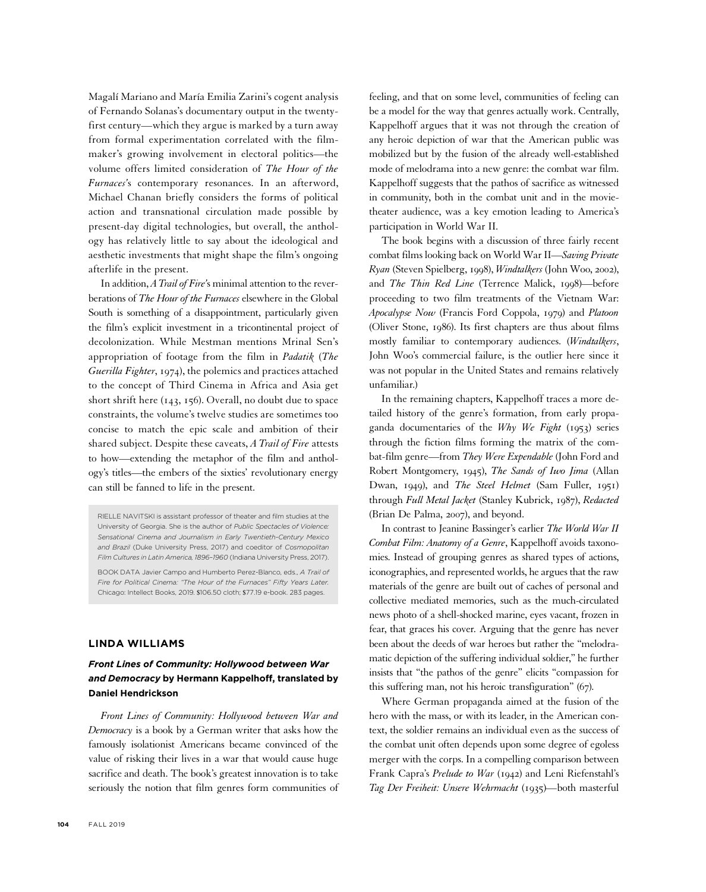Magalí Mariano and María Emilia Zarini's cogent analysis of Fernando Solanas's documentary output in the twentyfirst century—which they argue is marked by a turn away from formal experimentation correlated with the filmmaker's growing involvement in electoral politics—the volume offers limited consideration of The Hour of the Furnaces's contemporary resonances. In an afterword, Michael Chanan briefly considers the forms of political action and transnational circulation made possible by present-day digital technologies, but overall, the anthology has relatively little to say about the ideological and aesthetic investments that might shape the film's ongoing afterlife in the present.

In addition, A Trail of Fire's minimal attention to the reverberations of The Hour of the Furnaces elsewhere in the Global South is something of a disappointment, particularly given the film's explicit investment in a tricontinental project of decolonization. While Mestman mentions Mrinal Sen's appropriation of footage from the film in Padatik (The Guerilla Fighter, 1974), the polemics and practices attached to the concept of Third Cinema in Africa and Asia get short shrift here (143, 156). Overall, no doubt due to space constraints, the volume's twelve studies are sometimes too concise to match the epic scale and ambition of their shared subject. Despite these caveats, A Trail of Fire attests to how—extending the metaphor of the film and anthology's titles—the embers of the sixties' revolutionary energy can still be fanned to life in the present.

RIELLE NAVITSKI is assistant professor of theater and film studies at the University of Georgia. She is the author of Public Spectacles of Violence: Sensational Cinema and Journalism in Early Twentieth-Century Mexico and Brazil (Duke University Press, 2017) and coeditor of Cosmopolitan Film Cultures in Latin America, 1896–1960 (Indiana University Press, 2017).

BOOK DATA Javier Campo and Humberto Perez-Blanco, eds., A Trail of Fire for Political Cinema: "The Hour of the Furnaces" Fifty Years Later. Chicago: Intellect Books, 2019. \$106.50 cloth; \$77.19 e-book. 283 pages.

#### LINDA WILLIAMS

#### Front Lines of Community: Hollywood between War and Democracy by Hermann Kappelhoff, translated by Daniel Hendrickson

Front Lines of Community: Hollywood between War and Democracy is a book by a German writer that asks how the famously isolationist Americans became convinced of the value of risking their lives in a war that would cause huge sacrifice and death. The book's greatest innovation is to take seriously the notion that film genres form communities of feeling, and that on some level, communities of feeling can be a model for the way that genres actually work. Centrally, Kappelhoff argues that it was not through the creation of any heroic depiction of war that the American public was mobilized but by the fusion of the already well-established mode of melodrama into a new genre: the combat war film. Kappelhoff suggests that the pathos of sacrifice as witnessed in community, both in the combat unit and in the movietheater audience, was a key emotion leading to America's participation in World War II.

The book begins with a discussion of three fairly recent combat films looking back on World War II—Saving Private Ryan (Steven Spielberg, 1998), Windtalkers (John Woo, 2002), and The Thin Red Line (Terrence Malick, 1998)—before proceeding to two film treatments of the Vietnam War: Apocalypse Now (Francis Ford Coppola, 1979) and Platoon (Oliver Stone, 1986). Its first chapters are thus about films mostly familiar to contemporary audiences. (Windtalkers, John Woo's commercial failure, is the outlier here since it was not popular in the United States and remains relatively unfamiliar.)

In the remaining chapters, Kappelhoff traces a more detailed history of the genre's formation, from early propaganda documentaries of the  $Why$  We Fight (1953) series through the fiction films forming the matrix of the combat-film genre—from They Were Expendable (John Ford and Robert Montgomery, 1945), The Sands of Iwo Jima (Allan Dwan, 1949), and The Steel Helmet (Sam Fuller, 1951) through Full Metal Jacket (Stanley Kubrick, 1987), Redacted (Brian De Palma, 2007), and beyond.

In contrast to Jeanine Bassinger's earlier The World War II Combat Film: Anatomy of a Genre, Kappelhoff avoids taxonomies. Instead of grouping genres as shared types of actions, iconographies, and represented worlds, he argues that the raw materials of the genre are built out of caches of personal and collective mediated memories, such as the much-circulated news photo of a shell-shocked marine, eyes vacant, frozen in fear, that graces his cover. Arguing that the genre has never been about the deeds of war heroes but rather the "melodramatic depiction of the suffering individual soldier," he further insists that "the pathos of the genre" elicits "compassion for this suffering man, not his heroic transfiguration" (67).

Where German propaganda aimed at the fusion of the hero with the mass, or with its leader, in the American context, the soldier remains an individual even as the success of the combat unit often depends upon some degree of egoless merger with the corps. In a compelling comparison between Frank Capra's Prelude to War (1942) and Leni Riefenstahl's Tag Der Freiheit: Unsere Wehrmacht (1935)—both masterful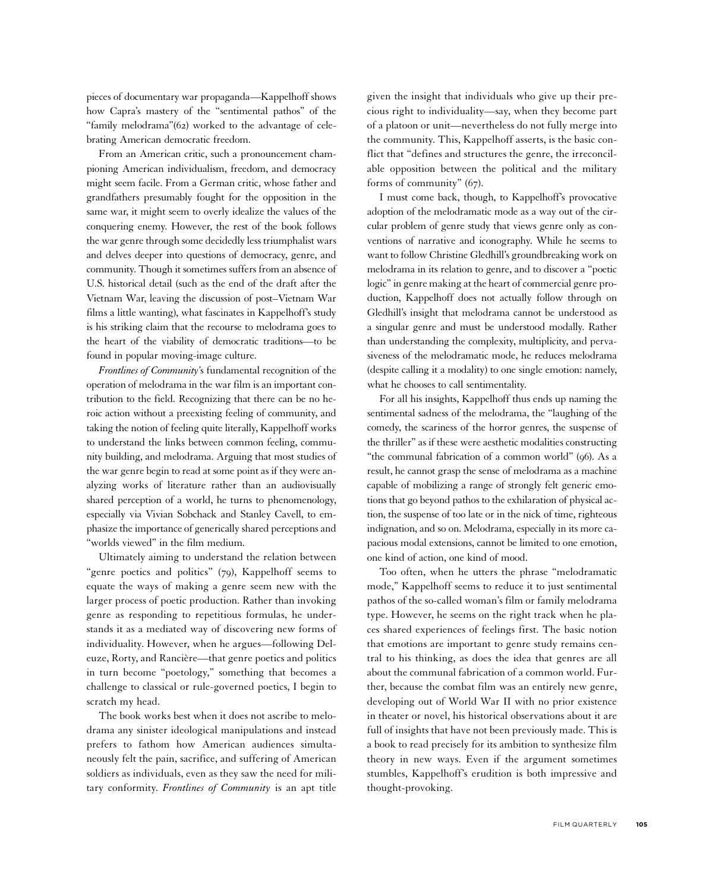pieces of documentary war propaganda—Kappelhoff shows how Capra's mastery of the "sentimental pathos" of the "family melodrama"(62) worked to the advantage of celebrating American democratic freedom.

From an American critic, such a pronouncement championing American individualism, freedom, and democracy might seem facile. From a German critic, whose father and grandfathers presumably fought for the opposition in the same war, it might seem to overly idealize the values of the conquering enemy. However, the rest of the book follows the war genre through some decidedly less triumphalist wars and delves deeper into questions of democracy, genre, and community. Though it sometimes suffers from an absence of U.S. historical detail (such as the end of the draft after the Vietnam War, leaving the discussion of post–Vietnam War films a little wanting), what fascinates in Kappelhoff's study is his striking claim that the recourse to melodrama goes to the heart of the viability of democratic traditions—to be found in popular moving-image culture.

Frontlines of Community's fundamental recognition of the operation of melodrama in the war film is an important contribution to the field. Recognizing that there can be no heroic action without a preexisting feeling of community, and taking the notion of feeling quite literally, Kappelhoff works to understand the links between common feeling, community building, and melodrama. Arguing that most studies of the war genre begin to read at some point as if they were analyzing works of literature rather than an audiovisually shared perception of a world, he turns to phenomenology, especially via Vivian Sobchack and Stanley Cavell, to emphasize the importance of generically shared perceptions and "worlds viewed" in the film medium.

Ultimately aiming to understand the relation between "genre poetics and politics" (79), Kappelhoff seems to equate the ways of making a genre seem new with the larger process of poetic production. Rather than invoking genre as responding to repetitious formulas, he understands it as a mediated way of discovering new forms of individuality. However, when he argues—following Deleuze, Rorty, and Rancière—that genre poetics and politics in turn become "poetology," something that becomes a challenge to classical or rule-governed poetics, I begin to scratch my head.

The book works best when it does not ascribe to melodrama any sinister ideological manipulations and instead prefers to fathom how American audiences simultaneously felt the pain, sacrifice, and suffering of American soldiers as individuals, even as they saw the need for military conformity. Frontlines of Community is an apt title

given the insight that individuals who give up their precious right to individuality—say, when they become part of a platoon or unit—nevertheless do not fully merge into the community. This, Kappelhoff asserts, is the basic conflict that "defines and structures the genre, the irreconcilable opposition between the political and the military forms of community" (67).

I must come back, though, to Kappelhoff's provocative adoption of the melodramatic mode as a way out of the circular problem of genre study that views genre only as conventions of narrative and iconography. While he seems to want to follow Christine Gledhill's groundbreaking work on melodrama in its relation to genre, and to discover a "poetic logic" in genre making at the heart of commercial genre production, Kappelhoff does not actually follow through on Gledhill's insight that melodrama cannot be understood as a singular genre and must be understood modally. Rather than understanding the complexity, multiplicity, and pervasiveness of the melodramatic mode, he reduces melodrama (despite calling it a modality) to one single emotion: namely, what he chooses to call sentimentality.

For all his insights, Kappelhoff thus ends up naming the sentimental sadness of the melodrama, the "laughing of the comedy, the scariness of the horror genres, the suspense of the thriller" as if these were aesthetic modalities constructing "the communal fabrication of a common world" (96). As a result, he cannot grasp the sense of melodrama as a machine capable of mobilizing a range of strongly felt generic emotions that go beyond pathos to the exhilaration of physical action, the suspense of too late or in the nick of time, righteous indignation, and so on. Melodrama, especially in its more capacious modal extensions, cannot be limited to one emotion, one kind of action, one kind of mood.

Too often, when he utters the phrase "melodramatic mode," Kappelhoff seems to reduce it to just sentimental pathos of the so-called woman's film or family melodrama type. However, he seems on the right track when he places shared experiences of feelings first. The basic notion that emotions are important to genre study remains central to his thinking, as does the idea that genres are all about the communal fabrication of a common world. Further, because the combat film was an entirely new genre, developing out of World War II with no prior existence in theater or novel, his historical observations about it are full of insights that have not been previously made. This is a book to read precisely for its ambition to synthesize film theory in new ways. Even if the argument sometimes stumbles, Kappelhoff's erudition is both impressive and thought-provoking.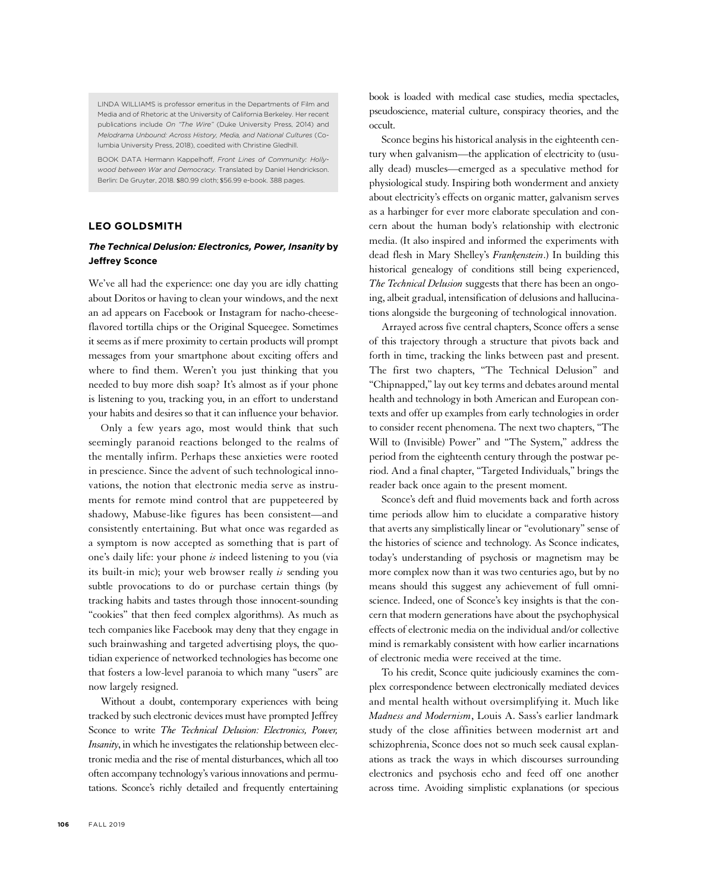LINDA WILLIAMS is professor emeritus in the Departments of Film and Media and of Rhetoric at the University of California Berkeley. Her recent publications include On "The Wire" (Duke University Press, 2014) and Melodrama Unbound: Across History, Media, and National Cultures (Columbia University Press, 2018), coedited with Christine Gledhill.

BOOK DATA Hermann Kappelhoff, Front Lines of Community: Hollywood between War and Democracy. Translated by Daniel Hendrickson. Berlin: De Gruyter, 2018. \$80.99 cloth; \$56.99 e-book. 388 pages.

#### LEO GOLDSMITH

#### The Technical Delusion: Electronics, Power, Insanity by Jeffrey Sconce

We've all had the experience: one day you are idly chatting about Doritos or having to clean your windows, and the next an ad appears on Facebook or Instagram for nacho-cheeseflavored tortilla chips or the Original Squeegee. Sometimes it seems as if mere proximity to certain products will prompt messages from your smartphone about exciting offers and where to find them. Weren't you just thinking that you needed to buy more dish soap? It's almost as if your phone is listening to you, tracking you, in an effort to understand your habits and desires so that it can influence your behavior.

Only a few years ago, most would think that such seemingly paranoid reactions belonged to the realms of the mentally infirm. Perhaps these anxieties were rooted in prescience. Since the advent of such technological innovations, the notion that electronic media serve as instruments for remote mind control that are puppeteered by shadowy, Mabuse-like figures has been consistent—and consistently entertaining. But what once was regarded as a symptom is now accepted as something that is part of one's daily life: your phone  $i\bar{s}$  indeed listening to you (via its built-in mic); your web browser really is sending you subtle provocations to do or purchase certain things (by tracking habits and tastes through those innocent-sounding "cookies" that then feed complex algorithms). As much as tech companies like Facebook may deny that they engage in such brainwashing and targeted advertising ploys, the quotidian experience of networked technologies has become one that fosters a low-level paranoia to which many "users" are now largely resigned.

Without a doubt, contemporary experiences with being tracked by such electronic devices must have prompted Jeffrey Sconce to write The Technical Delusion: Electronics, Power, Insanity, in which he investigates the relationship between electronic media and the rise of mental disturbances, which all too often accompany technology's various innovations and permutations. Sconce's richly detailed and frequently entertaining book is loaded with medical case studies, media spectacles, pseudoscience, material culture, conspiracy theories, and the occult.

Sconce begins his historical analysis in the eighteenth century when galvanism—the application of electricity to (usually dead) muscles—emerged as a speculative method for physiological study. Inspiring both wonderment and anxiety about electricity's effects on organic matter, galvanism serves as a harbinger for ever more elaborate speculation and concern about the human body's relationship with electronic media. (It also inspired and informed the experiments with dead flesh in Mary Shelley's Frankenstein.) In building this historical genealogy of conditions still being experienced, The Technical Delusion suggests that there has been an ongoing, albeit gradual, intensification of delusions and hallucinations alongside the burgeoning of technological innovation.

Arrayed across five central chapters, Sconce offers a sense of this trajectory through a structure that pivots back and forth in time, tracking the links between past and present. The first two chapters, "The Technical Delusion" and "Chipnapped," lay out key terms and debates around mental health and technology in both American and European contexts and offer up examples from early technologies in order to consider recent phenomena. The next two chapters, "The Will to (Invisible) Power" and "The System," address the period from the eighteenth century through the postwar period. And a final chapter, "Targeted Individuals," brings the reader back once again to the present moment.

Sconce's deft and fluid movements back and forth across time periods allow him to elucidate a comparative history that averts any simplistically linear or "evolutionary" sense of the histories of science and technology. As Sconce indicates, today's understanding of psychosis or magnetism may be more complex now than it was two centuries ago, but by no means should this suggest any achievement of full omniscience. Indeed, one of Sconce's key insights is that the concern that modern generations have about the psychophysical effects of electronic media on the individual and/or collective mind is remarkably consistent with how earlier incarnations of electronic media were received at the time.

To his credit, Sconce quite judiciously examines the complex correspondence between electronically mediated devices and mental health without oversimplifying it. Much like Madness and Modernism, Louis A. Sass's earlier landmark study of the close affinities between modernist art and schizophrenia, Sconce does not so much seek causal explanations as track the ways in which discourses surrounding electronics and psychosis echo and feed off one another across time. Avoiding simplistic explanations (or specious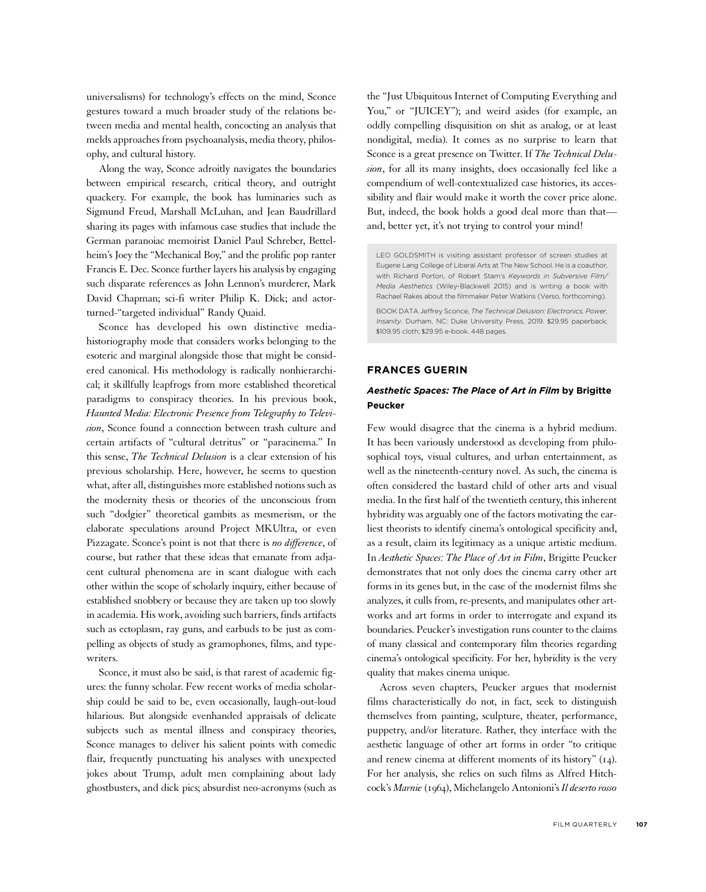universalisms) for technology's effects on the mind, Sconce gestures toward a much broader study of the relations between media and mental health, concocting an analysis that melds approaches from psychoanalysis, media theory, philosophy, and cultural history.

Along the way, Sconce adroitly navigates the boundaries between empirical research, critical theory, and outright quackery. For example, the book has luminaries such as Sigmund Freud, Marshall McLuhan, and Jean Baudrillard sharing its pages with infamous case studies that include the German paranoiac memoirist Daniel Paul Schreber, Bettelheim's Joey the "Mechanical Boy," and the prolific pop ranter Francis E. Dec. Sconce further layers his analysis by engaging such disparate references as John Lennon's murderer, Mark David Chapman; sci-fi writer Philip K. Dick; and actorturned-"targeted individual" Randy Quaid.

Sconce has developed his own distinctive mediahistoriography mode that considers works belonging to the esoteric and marginal alongside those that might be considered canonical. His methodology is radically nonhierarchical; it skillfully leapfrogs from more established theoretical paradigms to conspiracy theories. In his previous book, Haunted Media: Electronic Presence from Telegraphy to Television, Sconce found a connection between trash culture and certain artifacts of "cultural detritus" or "paracinema." In this sense, The Technical Delusion is a clear extension of his previous scholarship. Here, however, he seems to question what, after all, distinguishes more established notions such as the modernity thesis or theories of the unconscious from such "dodgier" theoretical gambits as mesmerism, or the elaborate speculations around Project MKUltra, or even Pizzagate. Sconce's point is not that there is no difference, of course, but rather that these ideas that emanate from adjacent cultural phenomena are in scant dialogue with each other within the scope of scholarly inquiry, either because of established snobbery or because they are taken up too slowly in academia. His work, avoiding such barriers, finds artifacts such as ectoplasm, ray guns, and earbuds to be just as compelling as objects of study as gramophones, films, and typewriters.

Sconce, it must also be said, is that rarest of academic figures: the funny scholar. Few recent works of media scholarship could be said to be, even occasionally, laugh-out-loud hilarious. But alongside evenhanded appraisals of delicate subjects such as mental illness and conspiracy theories, Sconce manages to deliver his salient points with comedic flair, frequently punctuating his analyses with unexpected jokes about Trump, adult men complaining about lady ghostbusters, and dick pics; absurdist neo-acronyms (such as

the "Just Ubiquitous Internet of Computing Everything and You," or "JUICEY"); and weird asides (for example, an oddly compelling disquisition on shit as analog, or at least nondigital, media). It comes as no surprise to learn that Sconce is a great presence on Twitter. If The Technical Delusion, for all its many insights, does occasionally feel like a compendium of well-contextualized case histories, its accessibility and flair would make it worth the cover price alone. But, indeed, the book holds a good deal more than that and, better yet, it's not trying to control your mind!

LEO GOLDSMITH is visiting assistant professor of screen studies at Eugene Lang College of Liberal Arts at The New School. He is a coauthor, with Richard Porton, of Robert Stam's Keywords in Subversive Film/ Media Aesthetics (Wiley-Blackwell 2015) and is writing a book with Rachael Rakes about the filmmaker Peter Watkins (Verso, forthcoming).

BOOK DATA Jeffrey Sconce, The Technical Delusion: Electronics, Power, Insanity. Durham, NC: Duke University Press, 2019. \$29.95 paperback; \$109.95 cloth; \$29.95 e-book. 448 pages.

#### FRANCES GUERIN

#### Aesthetic Spaces: The Place of Art in Film by Brigitte Peucker

Few would disagree that the cinema is a hybrid medium. It has been variously understood as developing from philosophical toys, visual cultures, and urban entertainment, as well as the nineteenth-century novel. As such, the cinema is often considered the bastard child of other arts and visual media. In the first half of the twentieth century, this inherent hybridity was arguably one of the factors motivating the earliest theorists to identify cinema's ontological specificity and, as a result, claim its legitimacy as a unique artistic medium. In Aesthetic Spaces: The Place of Art in Film, Brigitte Peucker demonstrates that not only does the cinema carry other art forms in its genes but, in the case of the modernist films she analyzes, it culls from, re-presents, and manipulates other artworks and art forms in order to interrogate and expand its boundaries. Peucker's investigation runs counter to the claims of many classical and contemporary film theories regarding cinema's ontological specificity. For her, hybridity is the very quality that makes cinema unique.

Across seven chapters, Peucker argues that modernist films characteristically do not, in fact, seek to distinguish themselves from painting, sculpture, theater, performance, puppetry, and/or literature. Rather, they interface with the aesthetic language of other art forms in order "to critique and renew cinema at different moments of its history" (14). For her analysis, she relies on such films as Alfred Hitchcock's Marnie (1964), Michelangelo Antonioni's Il deserto rosso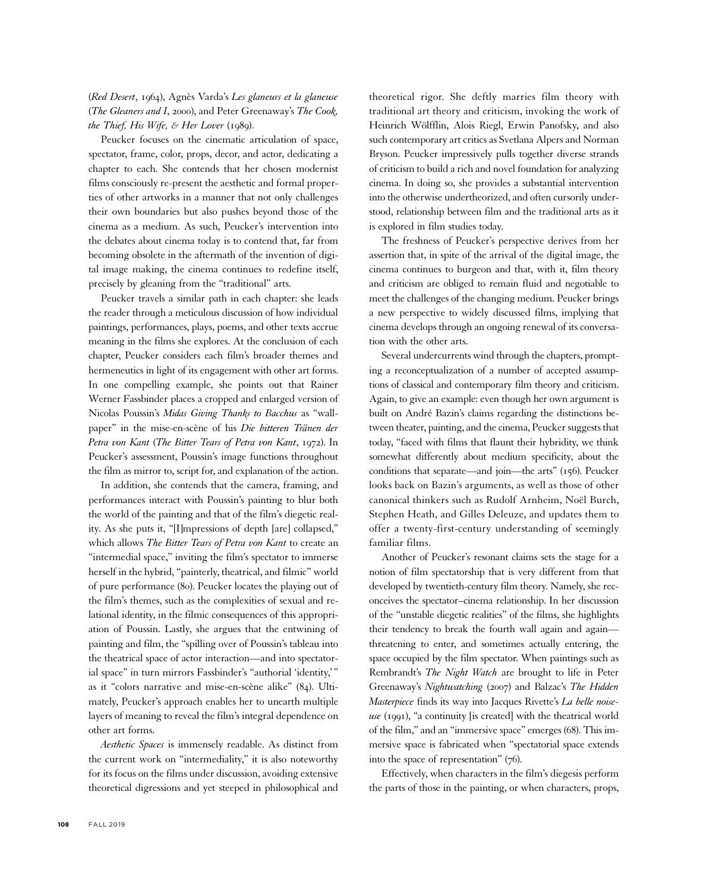(Red Desert, 1964), Agnès Varda's Les glaneurs et la glaneuse (The Gleaners and I, 2000), and Peter Greenaway's The Cook, the Thief, His Wife, & Her Lover (1989).

Peucker focuses on the cinematic articulation of space, spectator, frame, color, props, decor, and actor, dedicating a chapter to each. She contends that her chosen modernist films consciously re-present the aesthetic and formal properties of other artworks in a manner that not only challenges their own boundaries but also pushes beyond those of the cinema as a medium. As such, Peucker's intervention into the debates about cinema today is to contend that, far from becoming obsolete in the aftermath of the invention of digital image making, the cinema continues to redefine itself, precisely by gleaning from the "traditional" arts.

Peucker travels a similar path in each chapter: she leads the reader through a meticulous discussion of how individual paintings, performances, plays, poems, and other texts accrue meaning in the films she explores. At the conclusion of each chapter, Peucker considers each film's broader themes and hermeneutics in light of its engagement with other art forms. In one compelling example, she points out that Rainer Werner Fassbinder places a cropped and enlarged version of Nicolas Poussin's Midas Giving Thanks to Bacchus as "wallpaper" in the mise-en-scène of his Die bitteren Tränen der Petra von Kant (The Bitter Tears of Petra von Kant, 1972). In Peucker's assessment, Poussin's image functions throughout the film as mirror to, script for, and explanation of the action.

In addition, she contends that the camera, framing, and performances interact with Poussin's painting to blur both the world of the painting and that of the film's diegetic reality. As she puts it, "[I]mpressions of depth [are] collapsed," which allows The Bitter Tears of Petra von Kant to create an "intermedial space," inviting the film's spectator to immerse herself in the hybrid, "painterly, theatrical, and filmic" world of pure performance (80). Peucker locates the playing out of the film's themes, such as the complexities of sexual and relational identity, in the filmic consequences of this appropriation of Poussin. Lastly, she argues that the entwining of painting and film, the "spilling over of Poussin's tableau into the theatrical space of actor interaction—and into spectatorial space" in turn mirrors Fassbinder's "authorial 'identity,'" as it "colors narrative and mise-en-scène alike" (84). Ultimately, Peucker's approach enables her to unearth multiple layers of meaning to reveal the film's integral dependence on other art forms.

Aesthetic Spaces is immensely readable. As distinct from the current work on "intermediality," it is also noteworthy for its focus on the films under discussion, avoiding extensive theoretical digressions and yet steeped in philosophical and theoretical rigor. She deftly marries film theory with traditional art theory and criticism, invoking the work of Heinrich Wölfflin, Alois Riegl, Erwin Panofsky, and also such contemporary art critics as Svetlana Alpers and Norman Bryson. Peucker impressively pulls together diverse strands of criticism to build a rich and novel foundation for analyzing cinema. In doing so, she provides a substantial intervention into the otherwise undertheorized, and often cursorily understood, relationship between film and the traditional arts as it is explored in film studies today.

The freshness of Peucker's perspective derives from her assertion that, in spite of the arrival of the digital image, the cinema continues to burgeon and that, with it, film theory and criticism are obliged to remain fluid and negotiable to meet the challenges of the changing medium. Peucker brings a new perspective to widely discussed films, implying that cinema develops through an ongoing renewal of its conversation with the other arts.

Several undercurrents wind through the chapters, prompting a reconceptualization of a number of accepted assumptions of classical and contemporary film theory and criticism. Again, to give an example: even though her own argument is built on André Bazin's claims regarding the distinctions between theater, painting, and the cinema, Peucker suggests that today, "faced with films that flaunt their hybridity, we think somewhat differently about medium specificity, about the conditions that separate—and join—the arts" (156). Peucker looks back on Bazin's arguments, as well as those of other canonical thinkers such as Rudolf Arnheim, Noël Burch, Stephen Heath, and Gilles Deleuze, and updates them to offer a twenty-first-century understanding of seemingly familiar films.

Another of Peucker's resonant claims sets the stage for a notion of film spectatorship that is very different from that developed by twentieth-century film theory. Namely, she reconceives the spectator–cinema relationship. In her discussion of the "unstable diegetic realities" of the films, she highlights their tendency to break the fourth wall again and again threatening to enter, and sometimes actually entering, the space occupied by the film spectator. When paintings such as Rembrandt's The Night Watch are brought to life in Peter Greenaway's Nightwatching (2007) and Balzac's The Hidden Masterpiece finds its way into Jacques Rivette's La belle noise $use (1991)$ , "a continuity [is created] with the theatrical world of the film," and an "immersive space" emerges (68). This immersive space is fabricated when "spectatorial space extends into the space of representation" (76).

Effectively, when characters in the film's diegesis perform the parts of those in the painting, or when characters, props,